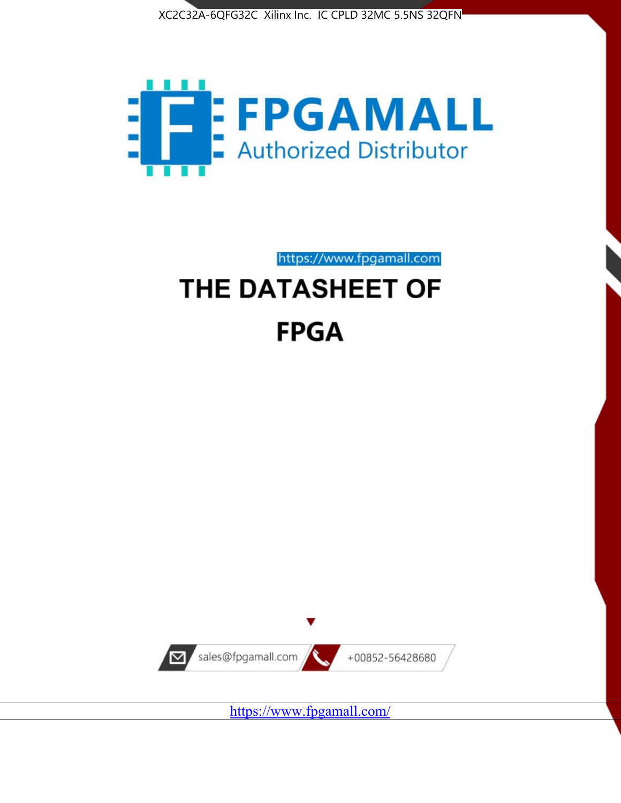



https://www.fpgamall.com

# THE DATASHEET OF **FPGA**



<https://www.fpgamall.com/>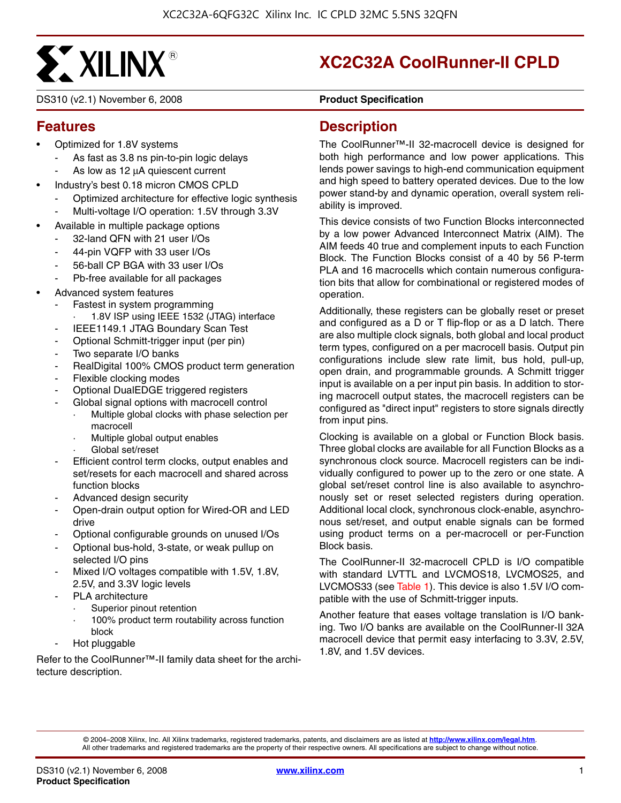

DS310 (v2.1) November 6, 2008 **DS310 (v2.1)** Product Specification

## **XC2C32A CoolRunner-II CPLD**

#### **Features**

- Optimized for 1.8V systems
	- As fast as 3.8 ns pin-to-pin logic delays
	- As low as 12 μA quiescent current
- Industry's best 0.18 micron CMOS CPLD
	- Optimized architecture for effective logic synthesis
	- Multi-voltage I/O operation: 1.5V through 3.3V
- Available in multiple package options
	- 32-land QFN with 21 user I/Os
	- 44-pin VQFP with 33 user I/Os
	- 56-ball CP BGA with 33 user I/Os
	- Pb-free available for all packages
- Advanced system features
	- Fastest in system programming
		- 1.8V ISP using IEEE 1532 (JTAG) interface
		- IEEE1149.1 JTAG Boundary Scan Test
	- Optional Schmitt-trigger input (per pin)
	- Two separate I/O banks
	- RealDigital 100% CMOS product term generation
	- Flexible clocking modes
	- Optional DualEDGE triggered registers
	- Global signal options with macrocell control
		- Multiple global clocks with phase selection per macrocell
		- Multiple global output enables
		- Global set/reset
	- Efficient control term clocks, output enables and set/resets for each macrocell and shared across function blocks
	- Advanced design security
	- Open-drain output option for Wired-OR and LED drive
	- Optional configurable grounds on unused I/Os
	- Optional bus-hold, 3-state, or weak pullup on selected I/O pins
	- Mixed I/O voltages compatible with 1.5V, 1.8V, 2.5V, and 3.3V logic levels
	- PLA architecture
		- Superior pinout retention
		- 100% product term routability across function block
	- Hot pluggable

Refer to the CoolRunner™-II family data sheet for the architecture description.

#### **Description**

The CoolRunner™-II 32-macrocell device is designed for both high performance and low power applications. This lends power savings to high-end communication equipment and high speed to battery operated devices. Due to the low power stand-by and dynamic operation, overall system reliability is improved.

This device consists of two Function Blocks interconnected by a low power Advanced Interconnect Matrix (AIM). The AIM feeds 40 true and complement inputs to each Function Block. The Function Blocks consist of a 40 by 56 P-term PLA and 16 macrocells which contain numerous configuration bits that allow for combinational or registered modes of operation.

Additionally, these registers can be globally reset or preset and configured as a D or T flip-flop or as a D latch. There are also multiple clock signals, both global and local product term types, configured on a per macrocell basis. Output pin configurations include slew rate limit, bus hold, pull-up, open drain, and programmable grounds. A Schmitt trigger input is available on a per input pin basis. In addition to storing macrocell output states, the macrocell registers can be configured as "direct input" registers to store signals directly from input pins.

Clocking is available on a global or Function Block basis. Three global clocks are available for all Function Blocks as a synchronous clock source. Macrocell registers can be individually configured to power up to the zero or one state. A global set/reset control line is also available to asynchronously set or reset selected registers during operation. Additional local clock, synchronous clock-enable, asynchronous set/reset, and output enable signals can be formed using product terms on a per-macrocell or per-Function Block basis.

The CoolRunner-II 32-macrocell CPLD is I/O compatible with standard LVTTL and LVCMOS18, LVCMOS25, and LVCMOS33 (see Table 1). This device is also 1.5V I/O compatible with the use of Schmitt-trigger inputs.

Another feature that eases voltage translation is I/O banking. Two I/O banks are available on the CoolRunner-II 32A macrocell device that permit easy interfacing to 3.3V, 2.5V, 1.8V, and 1.5V devices.

© 2004–2008 Xilinx, Inc. All Xilinx trademarks, registered trademarks, patents, and disclaimers are as listed at **<http://www.xilinx.com/legal.htm>**. All other trademarks and registered trademarks are the property of their respective owners. All specifications are subject to change without notice.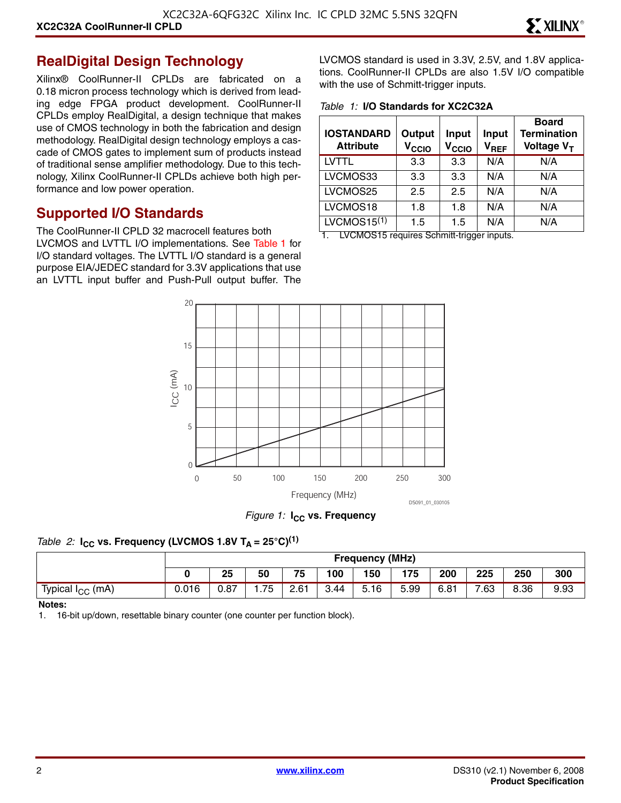#### **RealDigital Design Technology**

Xilinx® CoolRunner-II CPLDs are fabricated on a 0.18 micron process technology which is derived from leading edge FPGA product development. CoolRunner-II CPLDs employ RealDigital, a design technique that makes use of CMOS technology in both the fabrication and design methodology. RealDigital design technology employs a cascade of CMOS gates to implement sum of products instead of traditional sense amplifier methodology. Due to this technology, Xilinx CoolRunner-II CPLDs achieve both high performance and low power operation.

#### **Supported I/O Standards**

The CoolRunner-II CPLD 32 macrocell features both LVCMOS and LVTTL I/O implementations. See Table 1 for I/O standard voltages. The LVTTL I/O standard is a general purpose EIA/JEDEC standard for 3.3V applications that use an LVTTL input buffer and Push-Pull output buffer. The LVCMOS standard is used in 3.3V, 2.5V, and 1.8V applications. CoolRunner-II CPLDs are also 1.5V I/O compatible with the use of Schmitt-trigger inputs.

*Table 1:* **I/O Standards for XC2C32A**

| <b>IOSTANDARD</b><br><b>Attribute</b> | Output<br>V <sub>CCIO</sub> | <b>Input</b><br>V <sub>CCIO</sub> | <b>Input</b><br>$\mathsf{v}_{\mathsf{REF}}$ | <b>Board</b><br><b>Termination</b><br>Voltage V <sub>T</sub> |
|---------------------------------------|-----------------------------|-----------------------------------|---------------------------------------------|--------------------------------------------------------------|
| LVTTL                                 | 3.3                         | 3.3                               | N/A                                         | N/A                                                          |
| LVCMOS33                              | 3.3                         | 3.3                               | N/A                                         | N/A                                                          |
| LVCMOS25                              | 2.5                         | 2.5                               | N/A                                         | N/A                                                          |
| LVCMOS18                              | 1.8                         | 1.8                               | N/A                                         | N/A                                                          |
| LVCMOS15 $(1)$                        | 1.5                         | 1.5                               | N/A                                         | N/A                                                          |

1. LVCMOS15 requires Schmitt-trigger inputs.



*Figure 1:* **I<sub>CC</sub>** vs. Frequency

#### *Table 2:* **I<sub>CC</sub>** vs. Frequency (LVCMOS 1.8V T<sub>A</sub> = 25°C)<sup>(1)</sup>

|                              |       | <b>Frequency (MHz)</b> |     |      |      |                                  |      |      |      |      |      |
|------------------------------|-------|------------------------|-----|------|------|----------------------------------|------|------|------|------|------|
|                              |       | 25                     | 50  | 75   | 100  | 150                              | 175  | 200  | 225  | 250  | 300  |
| Typical I <sub>CC</sub> (mA) | 0.016 | 0.87                   | .75 | 2.61 | 3.44 | $\overline{\phantom{0}}$<br>5.16 | 5.99 | 6.81 | 7.63 | 8.36 | 9.93 |

#### **Notes:**

1. 16-bit up/down, resettable binary counter (one counter per function block).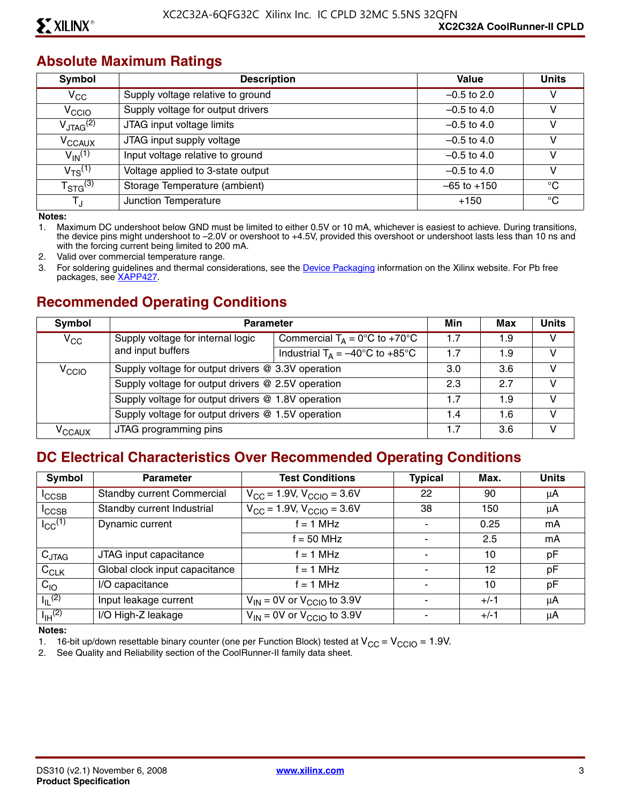#### **Absolute Maximum Ratings**

| Symbol                  | <b>Description</b>                | Value           | <b>Units</b> |
|-------------------------|-----------------------------------|-----------------|--------------|
| $V_{\rm CC}$            | Supply voltage relative to ground | $-0.5$ to 2.0   | v            |
| V <sub>CCIO</sub>       | Supply voltage for output drivers | $-0.5$ to 4.0   | v            |
| $V_{\text{JTAG}}^{(2)}$ | JTAG input voltage limits         | $-0.5$ to 4.0   | v            |
| V <sub>CCAUX</sub>      | JTAG input supply voltage         | $-0.5$ to 4.0   | v            |
| $V_{\text{IN}}^{(1)}$   | Input voltage relative to ground  | $-0.5$ to 4.0   | v            |
| $V_{TS}^{(1)}$          | Voltage applied to 3-state output | $-0.5$ to 4.0   | v            |
| $T_{\text{STG}}^{(3)}$  | Storage Temperature (ambient)     | $-65$ to $+150$ | °C           |
| TJ                      | Junction Temperature              | $+150$          | °C           |

**Notes:** 

1. Maximum DC undershoot below GND must be limited to either 0.5V or 10 mA, whichever is easiest to achieve. During transitions, the device pins might undershoot to –2.0V or overshoot to +4.5V, provided this overshoot or undershoot lasts less than 10 ns and with the forcing current being limited to 200 mA.

2. Valid over commercial temperature range.

3. For soldering guidelines and thermal considerations, see the [Device Packaging](http://www.xilinx.com/support/documentation/package_specifications.htm) information on the Xilinx website. For Pb free packages, see [XAPP427](http://www.xilinx.com/support/documentation/application_notes/xapp427.pdf).

#### **Recommended Operating Conditions**

| Symbol                                             | <b>Parameter</b>                                   |                                                   |     | Max | <b>Units</b> |
|----------------------------------------------------|----------------------------------------------------|---------------------------------------------------|-----|-----|--------------|
| $V_{\rm CC}$                                       | Supply voltage for internal logic                  | Commercial $T_A = 0$ °C to +70°C                  | 1.7 | 1.9 | v            |
|                                                    | and input buffers                                  | Industrial $T_A = -40^{\circ}C$ to $+85^{\circ}C$ | 1.7 | 1.9 | v            |
| $V_{\rm CCIO}$                                     | Supply voltage for output drivers @ 3.3V operation |                                                   | 3.0 | 3.6 | V            |
|                                                    | Supply voltage for output drivers @ 2.5V operation |                                                   | 2.3 | 2.7 | V            |
|                                                    | Supply voltage for output drivers @ 1.8V operation |                                                   | 1.7 | 1.9 | V            |
| Supply voltage for output drivers @ 1.5V operation |                                                    |                                                   | 1.4 | 1.6 | v            |
| $V_{\rm CCAUX}$                                    | JTAG programming pins                              |                                                   | 1.7 | 3.6 | v            |

#### **DC Electrical Characteristics Over Recommended Operating Conditions**

| <b>Symbol</b>           | <b>Parameter</b>                  | <b>Test Conditions</b>                     | <b>Typical</b> | Max.   | <b>Units</b> |
|-------------------------|-----------------------------------|--------------------------------------------|----------------|--------|--------------|
| <sup>I</sup> CCSB       | <b>Standby current Commercial</b> | $V_{\rm CC}$ = 1.9V, $V_{\rm CCIO}$ = 3.6V | 22             | 90     | μA           |
| $I_{\text{CCSB}}$       | Standby current Industrial        | $V_{CC}$ = 1.9V, $V_{CCIO}$ = 3.6V         | 38             | 150    | μA           |
| $I_{CC}$ <sup>(1)</sup> | Dynamic current                   | $f = 1$ MHz                                |                | 0.25   | mA           |
|                         |                                   | $f = 50$ MHz                               |                | 2.5    | mA           |
| $C_{JTAG}$              | JTAG input capacitance            | f = 1 MHz                                  |                | 10     | pF           |
| $C_{CLK}$               | Global clock input capacitance    | f = 1 MHz                                  |                | 12     | pF           |
| $C_{10}$                | I/O capacitance                   | $f = 1$ MHz                                |                | 10     | pF           |
| $I_{\parallel}$ (2)     | Input leakage current             | $V_{IN}$ = 0V or $V_{CClO}$ to 3.9V        |                | $+/-1$ | μA           |
| $I_{\text{IH}}^{(2)}$   | I/O High-Z leakage                | $V_{IN}$ = 0V or $V_{CClO}$ to 3.9V        |                | $+/-1$ | μA           |

**Notes:** 

1. 16-bit up/down resettable binary counter (one per Function Block) tested at  $V_{CC} = V_{CCIO} = 1.9V$ .<br>2. See Quality and Reliability section of the CoolRunner-II family data sheet.

See Quality and Reliability section of the CoolRunner-II family data sheet.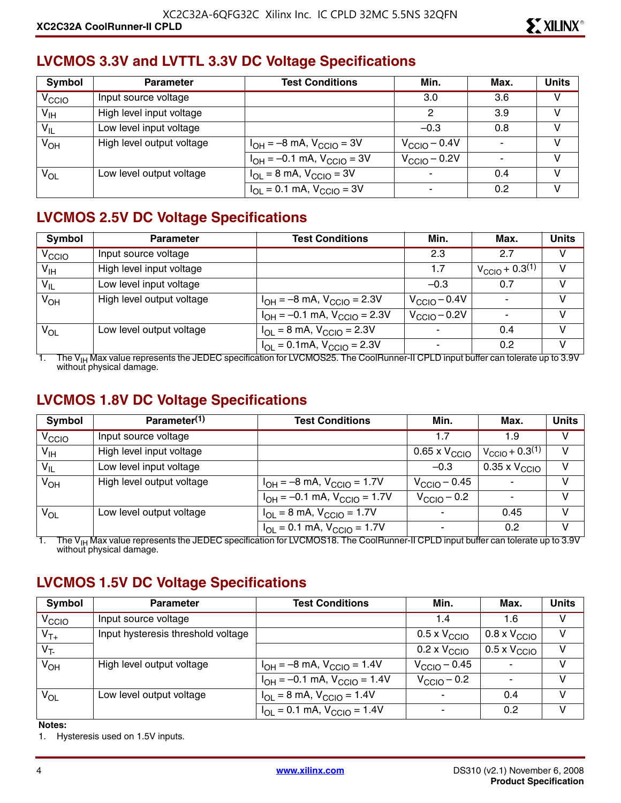#### **LVCMOS 3.3V and LVTTL 3.3V DC Voltage Specifications**

| Symbol            | <b>Parameter</b>          | <b>Test Conditions</b>              | Min.                     | Max. | <b>Units</b> |
|-------------------|---------------------------|-------------------------------------|--------------------------|------|--------------|
| V <sub>CCIO</sub> | Input source voltage      |                                     | 3.0                      | 3.6  | V            |
| $V_{\text{IH}}$   | High level input voltage  |                                     | 2                        | 3.9  | V            |
| $V_{IL}$          | Low level input voltage   |                                     | $-0.3$                   | 0.8  | V            |
| $V_{OH}$          | High level output voltage | $I_{OH} = -8$ mA, $V_{CClO} = 3V$   | $V_{\text{CCIO}} - 0.4V$ |      | V            |
|                   |                           | $I_{OH} = -0.1$ mA, $V_{CClO} = 3V$ | $V_{\text{CCIO}} - 0.2V$ |      | v            |
| $V_{OL}$          | Low level output voltage  | $I_{OL}$ = 8 mA, $V_{CCIO}$ = 3V    |                          | 0.4  | v            |
|                   |                           | $I_{OL} = 0.1$ mA, $V_{CCIO} = 3V$  | ۰                        | 0.2  | v            |

#### **LVCMOS 2.5V DC Voltage Specifications**

| Symbol            | <b>Parameter</b>          | <b>Test Conditions</b>                                             | Min.                     | Max.                          | <b>Units</b> |
|-------------------|---------------------------|--------------------------------------------------------------------|--------------------------|-------------------------------|--------------|
| V <sub>CCIO</sub> | Input source voltage      |                                                                    | 2.3                      | 2.7                           | V            |
| V <sub>IH</sub>   | High level input voltage  |                                                                    | 1.7                      | $V_{\text{CCIO}} + 0.3^{(1)}$ | $\vee$       |
| $V_{IL}$          | Low level input voltage   |                                                                    | $-0.3$                   | 0.7                           | V            |
| $V_{OH}$          | High level output voltage | $I_{OH} = -8$ mA, $V_{CGIO} = 2.3V$                                | $V_{\text{CCIO}} - 0.4V$ |                               | V            |
|                   |                           | $I_{OH} = -0.1$ mA, $V_{CGIO} = 2.3V$                              | $V_{\text{CCIO}} - 0.2V$ |                               | V            |
| $V_{OL}$          | Low level output voltage  | $I_{OL} = 8$ mA, $V_{CCIO} = 2.3V$                                 | $\overline{\phantom{a}}$ | 0.4                           | V            |
|                   |                           | $I_{\text{OI}} = 0.1 \text{mA}$ , $V_{\text{CGIO}} = 2.3 \text{V}$ |                          | 0.2                           | V            |

1. The V<sub>IH</sub> Max value represents the JEDEC specification for LVCMOS25. The CoolRunner-II CPLD input buffer can tolerate up to 3.9V without physical damage.

#### **LVCMOS 1.8V DC Voltage Specifications**

| Symbol            | Parameter <sup>(1)</sup>  | <b>Test Conditions</b>                | Min.                     | Max.                          | <b>Units</b> |
|-------------------|---------------------------|---------------------------------------|--------------------------|-------------------------------|--------------|
| V <sub>CCIO</sub> | Input source voltage      |                                       | 1.7                      | 1.9                           | v            |
| $V_{\text{IH}}$   | High level input voltage  |                                       | 0.65 x $\rm V_{\rm CCO}$ | $V_{\text{CCIO}} + 0.3^{(1)}$ | V            |
| $V_{IL}$          | Low level input voltage   |                                       | $-0.3$                   | $0.35 \times V_{\text{CCIO}}$ | $\vee$       |
| $V_{OH}$          | High level output voltage | $I_{OH} = -8$ mA, $V_{CGIO} = 1.7V$   | $V_{\rm CClO}$ – 0.45    |                               | V            |
|                   |                           | $I_{OH} = -0.1$ mA, $V_{CCIO} = 1.7V$ | $V_{\rm CClO}$ – 0.2     |                               | V            |
| $V_{OL}$          | Low level output voltage  | $I_{OL} = 8$ mA, $V_{CCIO} = 1.7V$    |                          | 0.45                          | V            |
|                   |                           | $I_{OL} = 0.1$ mA, $V_{CCIO} = 1.7V$  | $\overline{\phantom{a}}$ | 0.2                           | V            |

1. The V<sub>IH</sub> Max value represents the JEDEC specification for LVCMOS18. The CoolRunner-II CPLD input buffer can tolerate up to 3.9V<br>without physical damage.

### **LVCMOS 1.5V DC Voltage Specifications**

| Symbol            | <b>Parameter</b>                   | <b>Test Conditions</b>                                               | Min.                         | Max.                         | <b>Units</b> |
|-------------------|------------------------------------|----------------------------------------------------------------------|------------------------------|------------------------------|--------------|
| V <sub>CCIO</sub> | Input source voltage               |                                                                      | 1.4                          | 1.6                          | v            |
| $V_{T+}$          | Input hysteresis threshold voltage |                                                                      | $0.5 \times V_{\text{CCIO}}$ | $0.8 \times V_{\text{CCIO}}$ | v            |
| $V_T$             |                                    |                                                                      | $0.2 \times V_{\text{CCIO}}$ | $0.5 \times V_{\text{CCIO}}$ | v            |
| $V_{OH}$          | High level output voltage          | $I_{OH} = -8$ mA, $V_{CCIO} = 1.4V$                                  | $V_{\text{CCIO}} - 0.45$     |                              | v            |
|                   |                                    | $I_{OH} = -0.1$ mA, $V_{CCIO} = 1.4V$                                | $V_{\rm CClO}$ – 0.2         |                              | V            |
| $V_{OL}$          | Low level output voltage           | $I_{\text{OI}} = 8 \text{ mA}$ , $V_{\text{CCIO}} = 1.4 \text{ V}$   |                              | 0.4                          | v            |
|                   |                                    | $I_{\text{OI}} = 0.1 \text{ mA}$ , $V_{\text{CCIO}} = 1.4 \text{ V}$ |                              | 0.2                          | v            |

#### **Notes:**

1. Hysteresis used on 1.5V inputs.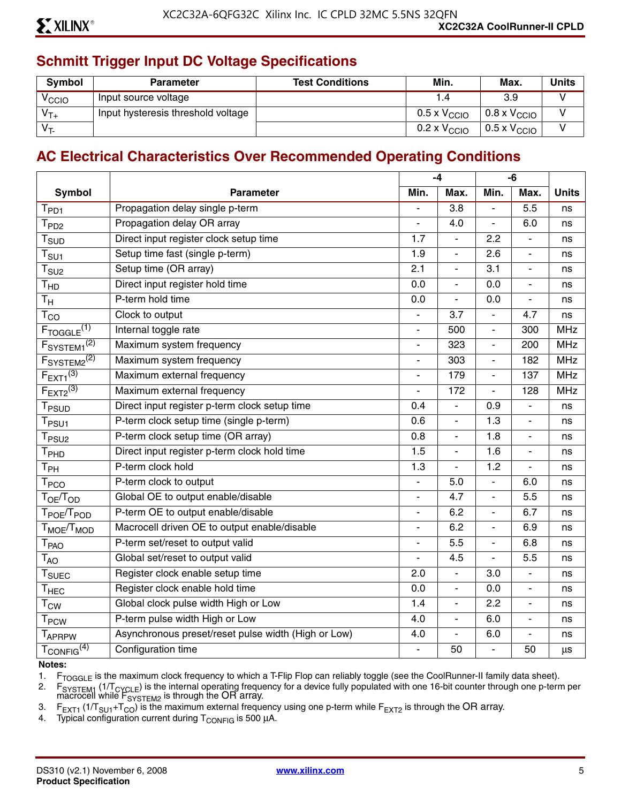## **Schmitt Trigger Input DC Voltage Specifications**

| <b>Symbol</b>     | <b>Parameter</b>                   | <b>Test Conditions</b> | Min.                         | Max.                         | <b>Units</b> |
|-------------------|------------------------------------|------------------------|------------------------------|------------------------------|--------------|
| <sup>V</sup> CCIO | Input source voltage               |                        |                              | 3.9                          |              |
| $V_{T+}$          | Input hysteresis threshold voltage |                        | $0.5 \times V_{\text{CCIO}}$ | $0.8 \times V_{\text{CCIO}}$ |              |
| V <sub>T</sub>    |                                    |                        | $0.2 \times V_{\text{CCIO}}$ | $0.5 \times V_{\text{CCIO}}$ |              |

#### **AC Electrical Characteristics Over Recommended Operating Conditions**

|                                               |                                                     |                              | $-4$             |                          | $-6$                     |              |
|-----------------------------------------------|-----------------------------------------------------|------------------------------|------------------|--------------------------|--------------------------|--------------|
| <b>Symbol</b>                                 | <b>Parameter</b>                                    | Min.                         | Max.             | Min.                     | Max.                     | <b>Units</b> |
| $T_{PD1}$                                     | Propagation delay single p-term                     |                              | $\overline{3.8}$ | ÷,                       | $\overline{5.5}$         | ns           |
| T <sub>PD2</sub>                              | Propagation delay OR array                          |                              | 4.0              | $\overline{a}$           | 6.0                      | ns           |
| $T_{\scriptsize\text{SUD}}$                   | Direct input register clock setup time              | 1.7                          | $\blacksquare$   | 2.2                      | $\blacksquare$           | ns           |
| $\mathsf{T}_{\mathsf{S}\mathsf{U}\mathsf{1}}$ | Setup time fast (single p-term)                     | 1.9                          | $\blacksquare$   | 2.6                      | $\overline{\phantom{a}}$ | ns           |
| $T_{\text{SU2}}$                              | Setup time (OR array)                               | 2.1                          | $\overline{a}$   | 3.1                      | L.                       | ns           |
| T <sub>HD</sub>                               | Direct input register hold time                     | 0.0                          | ÷,               | 0.0                      | $\overline{\phantom{a}}$ | ns           |
| $T_{\rm H}$                                   | P-term hold time                                    | 0.0                          | $\overline{a}$   | 0.0                      | $\blacksquare$           | ns           |
| $T_{CO}$                                      | Clock to output                                     |                              | 3.7              | L.                       | 4.7                      | ns           |
| $F_{TOGGLE}$ <sup>(1)</sup>                   | Internal toggle rate                                | $\qquad \qquad \blacksquare$ | 500              | $\overline{\phantom{m}}$ | 300                      | <b>MHz</b>   |
| F <sub>SYSTEM1</sub> <sup>(2)</sup>           | Maximum system frequency                            | L.                           | 323              | $\overline{\phantom{a}}$ | 200                      | <b>MHz</b>   |
| F <sub>S</sub> YSTEM2 <sup>(2)</sup>          | Maximum system frequency                            |                              | 303              | $\overline{a}$           | 182                      | <b>MHz</b>   |
| $F_{\text{EXT}1}^{(3)}$                       | Maximum external frequency                          |                              | 179              | $\blacksquare$           | 137                      | <b>MHz</b>   |
| $F_{EXT2}^{(3)}$                              | Maximum external frequency                          | $\overline{a}$               | 172              | $\overline{\phantom{a}}$ | 128                      | <b>MHz</b>   |
| T <sub>PSUD</sub>                             | Direct input register p-term clock setup time       | 0.4                          | $\overline{a}$   | 0.9                      | ÷,                       | ns           |
| $T_{PSU1}$                                    | P-term clock setup time (single p-term)             | 0.6                          | $\overline{a}$   | 1.3                      | $\blacksquare$           | ns           |
| $T_{PSU2}$                                    | P-term clock setup time (OR array)                  | 0.8                          | $\blacksquare$   | 1.8                      | $\overline{\phantom{a}}$ | ns           |
| $\mathsf{T}_{\mathsf{PHD}}$                   | Direct input register p-term clock hold time        | 1.5                          | $\blacksquare$   | 1.6                      | $\overline{\phantom{0}}$ | ns           |
| $\mathsf{T}_{\mathsf{PH}}$                    | P-term clock hold                                   | 1.3                          | ÷,               | 1.2                      | ÷,                       | ns           |
| $\mathsf{T}_{\mathsf{PCO}}$                   | P-term clock to output                              | ä,                           | 5.0              | $\blacksquare$           | 6.0                      | ns           |
| $T_{OE}/T_{OD}$                               | Global OE to output enable/disable                  |                              | 4.7              |                          | 5.5                      | ns           |
| T <sub>POE</sub> /T <sub>POD</sub>            | P-term OE to output enable/disable                  | $\overline{\phantom{a}}$     | 6.2              | $\blacksquare$           | 6.7                      | ns           |
| T <sub>MOE</sub> /T <sub>MOD</sub>            | Macrocell driven OE to output enable/disable        | $\overline{\phantom{0}}$     | 6.2              | $\blacksquare$           | 6.9                      | ns           |
| T <sub>PAO</sub>                              | P-term set/reset to output valid                    |                              | 5.5              |                          | 6.8                      | ns           |
| $T_{AO}$                                      | Global set/reset to output valid                    |                              | 4.5              | L.                       | 5.5                      | ns           |
| $T_{\text{SUEC}}$                             | Register clock enable setup time                    | 2.0                          | ÷.               | 3.0                      | $\blacksquare$           | ns           |
| $\mathsf{T}_{\mathsf{HEC}}$                   | Register clock enable hold time                     | 0.0                          | ÷,               | 0.0                      | ÷,                       | ns           |
| $T_{\text{CW}}$                               | Global clock pulse width High or Low                | 1.4                          | ÷,               | 2.2                      | ÷,                       | ns           |
| <b>T</b> <sub>PCW</sub>                       | P-term pulse width High or Low                      | 4.0                          | $\blacksquare$   | 6.0                      | $\overline{\phantom{a}}$ | ns           |
| TAPRPW                                        | Asynchronous preset/reset pulse width (High or Low) | 4.0                          | L.               | 6.0                      | $\blacksquare$           | ns           |
| $T_{\text{CONFIG}}^{(4)}$                     | Configuration time                                  |                              | 50               | $\overline{a}$           | 50                       | μs           |

#### **Notes:**

1. F<sub>TOGGLE</sub> is the maximum clock frequency to which a T-Flip Flop can reliably toggle (see the CoolRunner-II family data sheet).<br>2. F<sub>SYSTEM1</sub> (1/T<sub>CYCLE</sub>) is the internal operating frequency for a device fully populated

2. F<sub>SYSTEM1</sub> (1/T<sub>CYCLE</sub>) is the internal operating frequency for a device fully populated with one 16-bit counter through one p-term per macrocell while  $F_{\text{SYSTEM2}}$  is through the OR array.

3. F<sub>EXT1</sub> (1/T<sub>SU1</sub>+T<sub>CO</sub>) is the maximum external frequency using one p-term while F<sub>EXT2</sub> is through the OR array.<br>4. Typical configuration current during T<sub>CONFIG</sub> is 500 µA.

Typical configuration current during  $T_{\text{CONFIG}}$  is 500  $\mu$ A.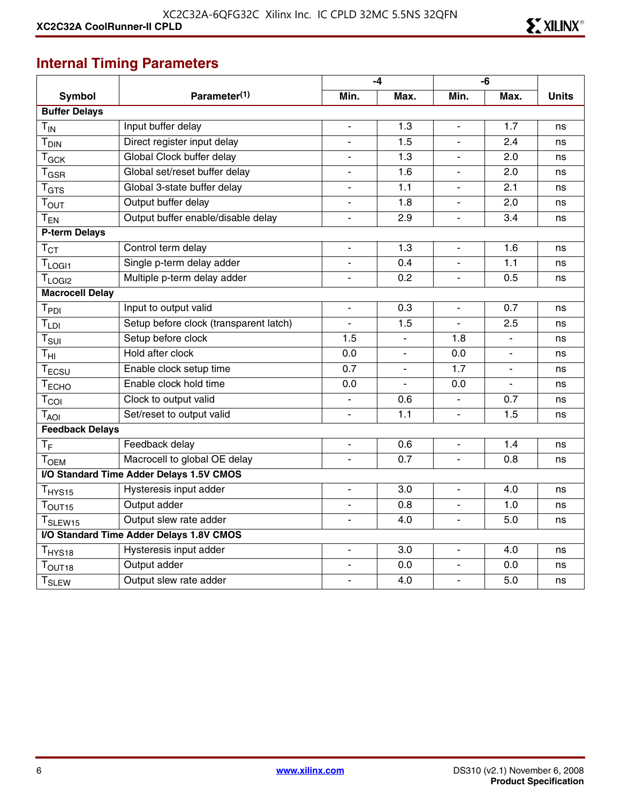## **Internal Timing Parameters**

|                              |                                          |                          | $-4$                     |                          | -6                       |              |
|------------------------------|------------------------------------------|--------------------------|--------------------------|--------------------------|--------------------------|--------------|
| <b>Symbol</b>                | Parameter <sup>(1)</sup>                 | Min.                     | Max.                     | Min.                     | Max.                     | <b>Units</b> |
| <b>Buffer Delays</b>         |                                          |                          |                          |                          |                          |              |
| $T_{IN}$                     | Input buffer delay                       | $\blacksquare$           | 1.3                      | $\overline{\phantom{0}}$ | 1.7                      | ns           |
| <b>T</b> <sub>DIN</sub>      | Direct register input delay              | $\blacksquare$           | 1.5                      | L.                       | 2.4                      | ns           |
| $T_{GCK}$                    | Global Clock buffer delay                |                          | 1.3                      |                          | 2.0                      | ns           |
| $T_{\rm GSR}$                | Global set/reset buffer delay            | $\overline{\phantom{a}}$ | 1.6                      | $\overline{\phantom{m}}$ | 2.0                      | ns           |
| $T_{\hbox{\scriptsize GTS}}$ | Global 3-state buffer delay              | $\overline{\phantom{a}}$ | 1.1                      | ٠                        | 2.1                      | ns           |
| T <sub>OUT</sub>             | Output buffer delay                      | $\overline{\phantom{a}}$ | 1.8                      | $\overline{\phantom{0}}$ | 2.0                      | ns           |
| $T_{EN}$                     | Output buffer enable/disable delay       | $\overline{\phantom{a}}$ | 2.9                      | L.                       | 3.4                      | ns           |
| P-term Delays                |                                          |                          |                          |                          |                          |              |
| $T_{CT}$                     | Control term delay                       | $\overline{\phantom{a}}$ | 1.3                      | $\overline{\phantom{m}}$ | 1.6                      | ns           |
| $T_{LOGI1}$                  | Single p-term delay adder                | $\blacksquare$           | 0.4                      | $\blacksquare$           | 1.1                      | ns           |
| $T_{LOGI2}$                  | Multiple p-term delay adder              | $\overline{\phantom{a}}$ | 0.2                      | $\blacksquare$           | 0.5                      | ns           |
| <b>Macrocell Delay</b>       |                                          |                          |                          |                          |                          |              |
| T <sub>PDI</sub>             | Input to output valid                    | $\blacksquare$           | 0.3                      |                          | 0.7                      | ns           |
| $T_{LDI}$                    | Setup before clock (transparent latch)   | $\blacksquare$           | 1.5                      | L.                       | 2.5                      | ns           |
| $T_{\text{SUI}}$             | Setup before clock                       | 1.5                      | $\overline{\phantom{a}}$ | 1.8                      | $\overline{\phantom{a}}$ | ns           |
| $\mathsf{T}_{\mathsf{HI}}$   | Hold after clock                         | $\overline{0.0}$         | $\blacksquare$           | 0.0                      | $\blacksquare$           | ns           |
| $T_{ECSU}$                   | Enable clock setup time                  | 0.7                      |                          | 1.7                      |                          | ns           |
| T <sub>ECHO</sub>            | Enable clock hold time                   | 0.0                      |                          | 0.0                      | $\blacksquare$           | ns           |
| $T_{COI}$                    | Clock to output valid                    | $\overline{\phantom{a}}$ | 0.6                      |                          | 0.7                      | ns           |
| $T_{\rm AOI}$                | Set/reset to output valid                | $\overline{\phantom{a}}$ | 1.1                      | ÷.                       | 1.5                      | ns           |
| <b>Feedback Delays</b>       |                                          |                          |                          |                          |                          |              |
| $T_F$                        | Feedback delay                           | $\blacksquare$           | 0.6                      | ä,                       | 1.4                      | ns           |
| <b>TOEM</b>                  | Macrocell to global OE delay             | $\blacksquare$           | 0.7                      | $\overline{\phantom{0}}$ | 0.8                      | ns           |
|                              | I/O Standard Time Adder Delays 1.5V CMOS |                          |                          |                          |                          |              |
| T <sub>HYS15</sub>           | Hysteresis input adder                   | $\overline{\phantom{a}}$ | 3.0                      | $\overline{\phantom{a}}$ | 4.0                      | ns           |
| T <sub>OUT15</sub>           | Output adder                             | $\overline{\phantom{a}}$ | 0.8                      | ÷.                       | 1.0                      | ns           |
| T <sub>SLEW15</sub>          | Output slew rate adder                   |                          | 4.0                      |                          | 5.0                      | ns           |
|                              | I/O Standard Time Adder Delays 1.8V CMOS |                          |                          |                          |                          |              |
| T <sub>HYS18</sub>           | Hysteresis input adder                   | $\blacksquare$           | 3.0                      | ä,                       | 4.0                      | ns           |
| T <sub>OUT18</sub>           | Output adder                             | $\overline{\phantom{a}}$ | 0.0                      | ÷.                       | 0.0                      | ns           |
| <b>T</b> <sub>SLEW</sub>     | Output slew rate adder                   |                          | 4.0                      | $\overline{a}$           | 5.0                      | ns           |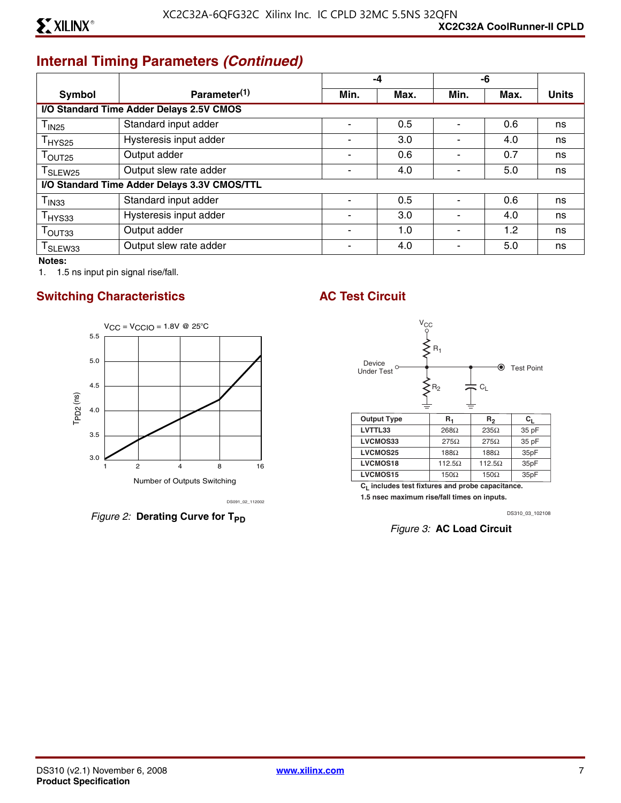## **Internal Timing Parameters** *(Continued)*

|                                              |                                          | $-4$                     |      | -6   |                  |              |
|----------------------------------------------|------------------------------------------|--------------------------|------|------|------------------|--------------|
| Symbol                                       | Parameter <sup>(1)</sup>                 | Min.                     | Max. | Min. | Max.             | <b>Units</b> |
|                                              | I/O Standard Time Adder Delays 2.5V CMOS |                          |      |      |                  |              |
| $\mathsf{T}_{\mathsf{IN25}}$                 | Standard input adder                     |                          | 0.5  |      | 0.6              | ns           |
| $T_{HYS25}$                                  | Hysteresis input adder                   | $\overline{\phantom{0}}$ | 3.0  |      | 4.0              | ns           |
| $T_{\text{OUT25}}$                           | Output adder                             |                          | 0.6  |      | 0.7              | ns           |
| T <sub>SLEW25</sub>                          | Output slew rate adder                   |                          | 4.0  |      | 5.0              | ns           |
| I/O Standard Time Adder Delays 3.3V CMOS/TTL |                                          |                          |      |      |                  |              |
| $\mathsf{T}_{\mathsf{IN33}}$                 | Standard input adder                     |                          | 0.5  |      | 0.6              | ns           |
| $T_{HYS33}$                                  | Hysteresis input adder                   |                          | 3.0  |      | 4.0              | ns           |
| $\mathsf{T}_{\mathsf{OUT}33}$                | Output adder                             |                          | 1.0  |      | 1.2 <sub>2</sub> | ns           |
| T <sub>SLEW33</sub>                          | Output slew rate adder                   |                          | 4.0  |      | 5.0              | ns           |

**Notes:** 

1. 1.5 ns input pin signal rise/fall.

#### **Switching Characteristics AC Test Circuit**



*Figure 2:* Derating Curve for T<sub>PD</sub>



**CL includes test fixtures and probe capacitance.** 

**1.5 nsec maximum rise/fall times on inputs.**

DS310\_03\_102108

*Figure 3:* **AC Load Circuit**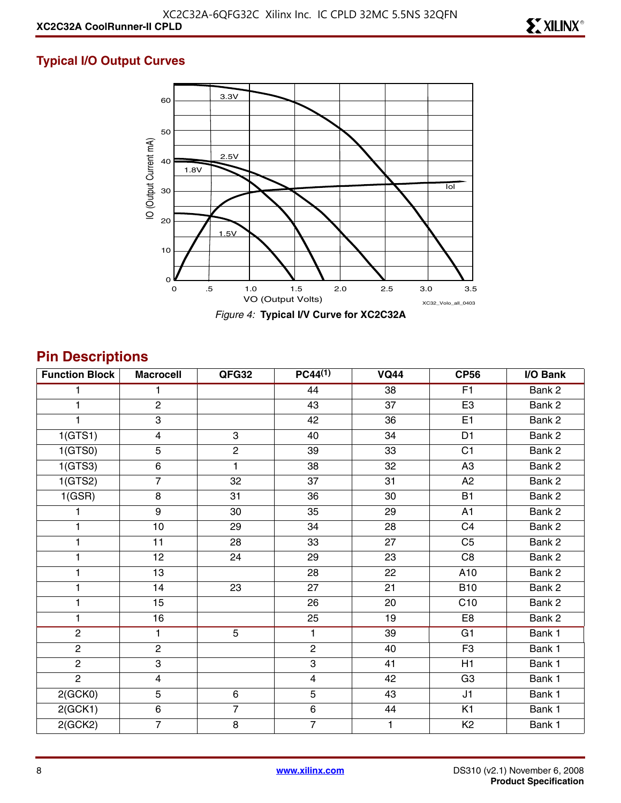#### **Typical I/O Output Curves**



## **Pin Descriptions**

| <b>Function Block</b> | <b>Macrocell</b>        | QFG32          | $PC44^{(1)}$          | <b>VQ44</b> | <b>CP56</b>       | I/O Bank |
|-----------------------|-------------------------|----------------|-----------------------|-------------|-------------------|----------|
|                       | 1                       |                | 44                    | 38          | F1                | Bank 2   |
| 1                     | $\overline{c}$          |                | 43                    | 37          | E <sub>3</sub>    | Bank 2   |
|                       | $\overline{\omega}$     |                | 42                    | 36          | E1                | Bank 2   |
| 1(GTS1)               | $\overline{4}$          | $\overline{3}$ | 40                    | 34          | D <sub>1</sub>    | Bank 2   |
| 1(GTS0)               | 5                       | $\overline{2}$ | 39                    | 33          | C <sub>1</sub>    | Bank 2   |
| 1(GTS3)               | $\,6\,$                 | 1              | 38                    | 32          | A <sub>3</sub>    | Bank 2   |
| 1(GTS2)               | $\overline{7}$          | 32             | 37                    | 31          | A <sub>2</sub>    | Bank 2   |
| 1(GSR)                | $\bf 8$                 | 31             | 36                    | 30          | <b>B1</b>         | Bank 2   |
|                       | $\boldsymbol{9}$        | 30             | 35                    | 29          | A1                | Bank 2   |
| 1                     | 10                      | 29             | 34                    | 28          | C <sub>4</sub>    | Bank 2   |
| 1                     | 11                      | 28             | 33                    | 27          | C <sub>5</sub>    | Bank 2   |
| 1                     | 12                      | 24             | 29                    | 23          | C <sub>8</sub>    | Bank 2   |
| 1                     | 13                      |                | 28                    | 22          | A10               | Bank 2   |
| 1                     | 14                      | 23             | 27                    | 21          | <b>B10</b>        | Bank 2   |
| 1                     | 15                      |                | 26                    | 20          | $\overline{C}$ 10 | Bank 2   |
| 1                     | 16                      |                | 25                    | 19          | E <sub>8</sub>    | Bank 2   |
| $\overline{2}$        | $\mathbf{1}$            | $\overline{5}$ | $\mathbf{1}$          | 39          | G1                | Bank 1   |
| $\overline{2}$        | $\mathbf{2}$            |                | $\mathbf{2}^{\prime}$ | 40          | F <sub>3</sub>    | Bank 1   |
| $\overline{2}$        | 3                       |                | 3                     | 41          | H1                | Bank 1   |
| $\overline{2}$        | $\overline{\mathbf{4}}$ |                | $\overline{4}$        | 42          | G <sub>3</sub>    | Bank 1   |
| 2(GCKO)               | 5                       | $\,6\,$        | 5                     | 43          | J1                | Bank 1   |
| 2(GCK1)               | $\,6$                   | $\overline{7}$ | $\,6\,$               | 44          | K <sub>1</sub>    | Bank 1   |
| 2(GCK2)               | $\overline{7}$          | 8              | $\overline{7}$        | 1           | K <sub>2</sub>    | Bank 1   |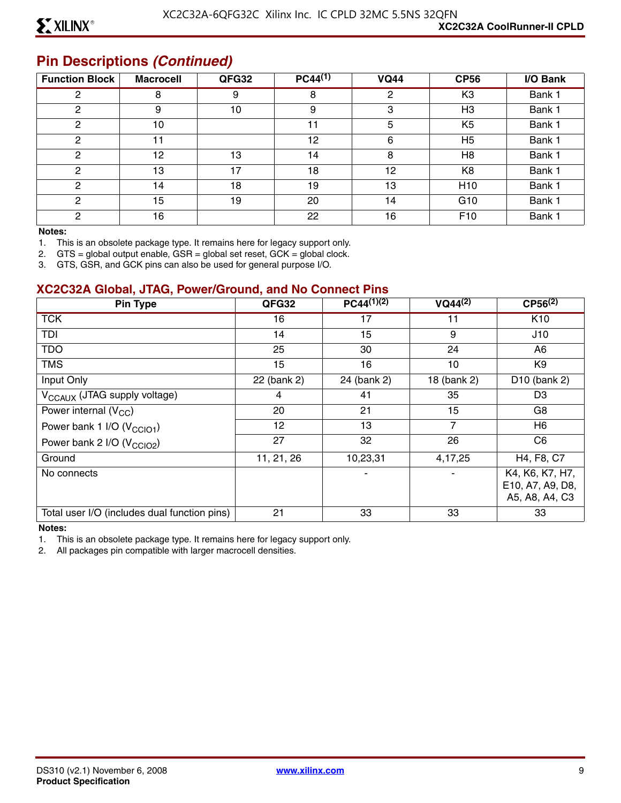#### **Pin Descriptions** *(Continued)*

| <b>Function Block</b> | <b>Macrocell</b> | QFG32 | $PC44^{(1)}$ | <b>VQ44</b> | <b>CP56</b>     | I/O Bank |
|-----------------------|------------------|-------|--------------|-------------|-----------------|----------|
| 2                     | 8                | 9     | 8            | 2           | K <sub>3</sub>  | Bank 1   |
| 2                     | 9                | 10    | 9            | 3           | H <sub>3</sub>  | Bank 1   |
| 2                     | 10               |       | 11           | 5           | K <sub>5</sub>  | Bank 1   |
| 2                     | 11               |       | 12           | 6           | H <sub>5</sub>  | Bank 1   |
| 2                     | 12               | 13    | 14           | 8           | H <sub>8</sub>  | Bank 1   |
| 2                     | 13               | 17    | 18           | 12          | K <sub>8</sub>  | Bank 1   |
| 2                     | 14               | 18    | 19           | 13          | H <sub>10</sub> | Bank 1   |
| 2                     | 15               | 19    | 20           | 14          | G <sub>10</sub> | Bank 1   |
| C                     | 16               |       | 22           | 16          | F <sub>10</sub> | Bank 1   |

#### **Notes:**

1. This is an obsolete package type. It remains here for legacy support only.

2. GTS = global output enable, GSR = global set reset, GCK = global clock.

3. GTS, GSR, and GCK pins can also be used for general purpose I/O.

#### **XC2C32A Global, JTAG, Power/Ground, and No Connect Pins**

| Pin Type                                     | QFG32       | $PC44^{(1)(2)}$ | $VQ44^{(2)}$   | $CP56^{(2)}$                                          |
|----------------------------------------------|-------------|-----------------|----------------|-------------------------------------------------------|
| <b>TCK</b>                                   | 16          | 17              |                | K <sub>10</sub>                                       |
| TDI                                          | 14          | 15              | 9              | J10                                                   |
| <b>TDO</b>                                   | 25          | 30              | 24             | A6                                                    |
| <b>TMS</b>                                   | 15          | 16              | 10             | K9                                                    |
| Input Only                                   | 22 (bank 2) | 24 (bank 2)     | 18 (bank 2)    | D <sub>10</sub> (bank 2)                              |
| V <sub>CCAUX</sub> (JTAG supply voltage)     | 4           | 41              | 35             | D <sub>3</sub>                                        |
| Power internal $(V_{CC})$                    | 20          | 21              | 15             | G8                                                    |
| Power bank 1 I/O (V <sub>CCIO1</sub> )       | 12          | 13              | $\overline{7}$ | H6                                                    |
| Power bank 2 I/O (V <sub>CCIO2</sub> )       | 27          | 32              | 26             | C <sub>6</sub>                                        |
| Ground                                       | 11, 21, 26  | 10,23,31        | 4,17,25        | H4, F8, C7                                            |
| No connects                                  |             |                 |                | K4, K6, K7, H7,<br>E10, A7, A9, D8,<br>A5, A8, A4, C3 |
| Total user I/O (includes dual function pins) | 21          | 33              | 33             | 33                                                    |

#### **Notes:**

1. This is an obsolete package type. It remains here for legacy support only.

2. All packages pin compatible with larger macrocell densities.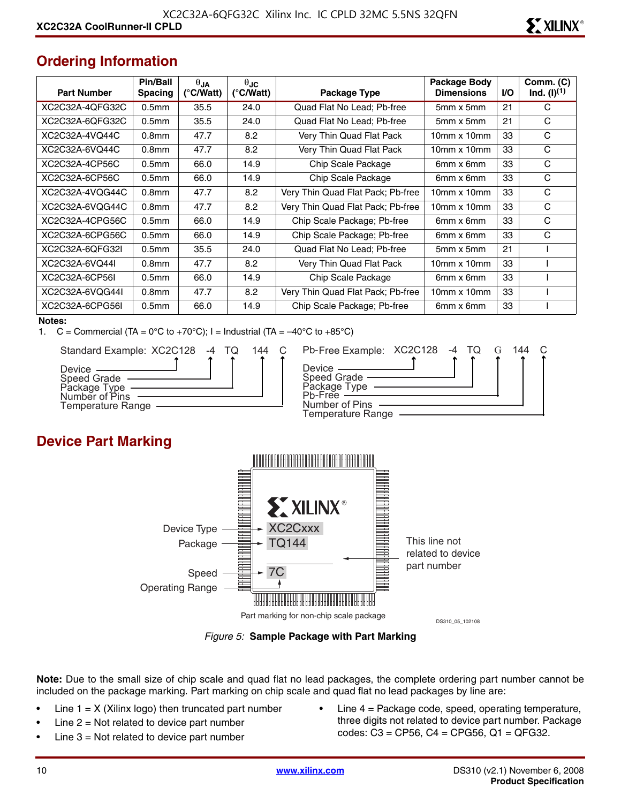## **Ordering Information**

| <b>Part Number</b> | Pin/Ball<br><b>Spacing</b> | $\theta$ JA<br>(°C/Watt) | $\theta$ JC<br>$(^{\circ}$ C/Watt) | Package Type                      | Package Body<br><b>Dimensions</b> | <b>I/O</b> | Comm. (C)<br>$Ind. (I)^{(1)}$ |
|--------------------|----------------------------|--------------------------|------------------------------------|-----------------------------------|-----------------------------------|------------|-------------------------------|
| XC2C32A-4QFG32C    | 0.5 <sub>mm</sub>          | 35.5                     | 24.0                               | Quad Flat No Lead; Pb-free        | 5mm x 5mm                         | 21         | C                             |
| XC2C32A-6QFG32C    | 0.5 <sub>mm</sub>          | 35.5                     | 24.0                               | Quad Flat No Lead; Pb-free        | $5mm \times 5mm$                  | 21         | C                             |
| XC2C32A-4VQ44C     | 0.8 <sub>mm</sub>          | 47.7                     | 8.2                                | Very Thin Quad Flat Pack          | $10mm \times 10mm$                | 33         | C                             |
| XC2C32A-6VQ44C     | 0.8 <sub>mm</sub>          | 47.7                     | 8.2                                | Very Thin Quad Flat Pack          | $10mm \times 10mm$                | 33         | C                             |
| XC2C32A-4CP56C     | 0.5 <sub>mm</sub>          | 66.0                     | 14.9                               | Chip Scale Package                | 6mm x 6mm                         | 33         | C                             |
| XC2C32A-6CP56C     | 0.5 <sub>mm</sub>          | 66.0                     | 14.9                               | Chip Scale Package                | 6mm x 6mm                         | 33         | C                             |
| XC2C32A-4VQG44C    | 0.8 <sub>mm</sub>          | 47.7                     | 8.2                                | Very Thin Quad Flat Pack; Pb-free | $10mm \times 10mm$                | 33         | C                             |
| XC2C32A-6VQG44C    | 0.8 <sub>mm</sub>          | 47.7                     | 8.2                                | Very Thin Quad Flat Pack; Pb-free | $10mm \times 10mm$                | 33         | C                             |
| XC2C32A-4CPG56C    | 0.5 <sub>mm</sub>          | 66.0                     | 14.9                               | Chip Scale Package; Pb-free       | 6mm x 6mm                         | 33         | С                             |
| XC2C32A-6CPG56C    | 0.5 <sub>mm</sub>          | 66.0                     | 14.9                               | Chip Scale Package; Pb-free       | 6mm x 6mm                         | 33         | C                             |
| XC2C32A-6OFG32L    | 0.5 <sub>mm</sub>          | 35.5                     | 24.0                               | Quad Flat No Lead; Pb-free        | $5mm \times 5mm$                  | 21         |                               |
| XC2C32A-6VQ44I     | 0.8 <sub>mm</sub>          | 47.7                     | 8.2                                | Very Thin Quad Flat Pack          | $10mm \times 10mm$                | 33         |                               |
| XC2C32A-6CP56L     | 0.5 <sub>mm</sub>          | 66.0                     | 14.9                               | Chip Scale Package                | 6mm x 6mm                         | 33         |                               |
| XC2C32A-6VQG44I    | 0.8 <sub>mm</sub>          | 47.7                     | 8.2                                | Very Thin Quad Flat Pack; Pb-free | $10mm \times 10mm$                | 33         |                               |
| XC2C32A-6CPG56I    | 0.5 <sub>mm</sub>          | 66.0                     | 14.9                               | Chip Scale Package; Pb-free       | 6mm x 6mm                         | 33         |                               |

#### **Notes:**

1.  $C =$  Commercial (TA = 0°C to +70°C); I = Industrial (TA =  $-40^{\circ}$ C to +85°C)



| 144 | Pb-Free Example: XC2C128 -4 TQ                |  |  | 144 |  |
|-----|-----------------------------------------------|--|--|-----|--|
|     | Device $\_\_$                                 |  |  |     |  |
|     | Speed Grade —<br>Package Type ——<br>Ph-Free - |  |  |     |  |
|     | Number of Pins                                |  |  |     |  |
|     | Temperature Range                             |  |  |     |  |

### **Device Part Marking**



*Figure 5:* **Sample Package with Part Marking**

**Note:** Due to the small size of chip scale and quad flat no lead packages, the complete ordering part number cannot be included on the package marking. Part marking on chip scale and quad flat no lead packages by line are:

- Line  $1 = X$  (Xilinx logo) then truncated part number
- Line  $2 = Not$  related to device part number
- Line  $3$  = Not related to device part number
- Line  $4$  = Package code, speed, operating temperature, three digits not related to device part number. Package codes: C3 = CP56, C4 = CPG56, Q1 = QFG32.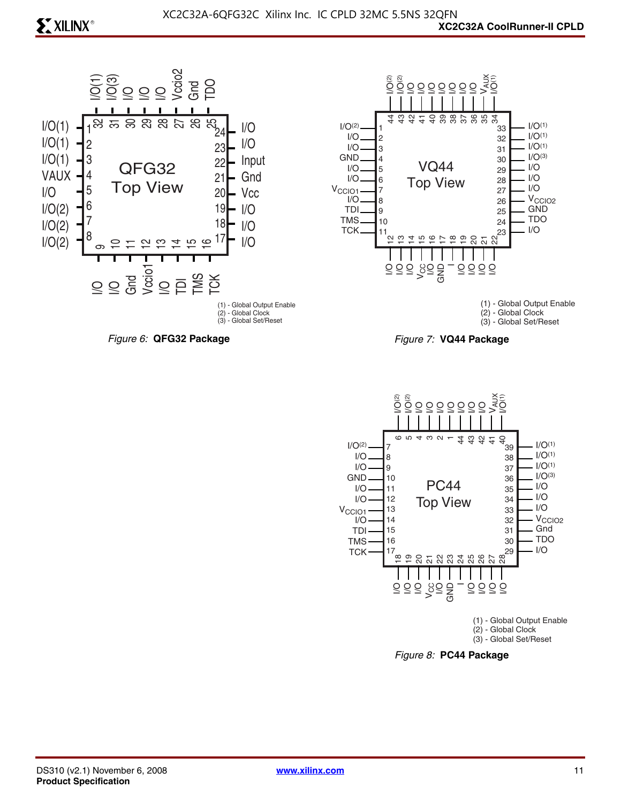## **EXILINX®**





(1) - Global Output Enable (2) - Global Clock (3) - Global Set/Reset





*Figure 8:* **PC44 Package**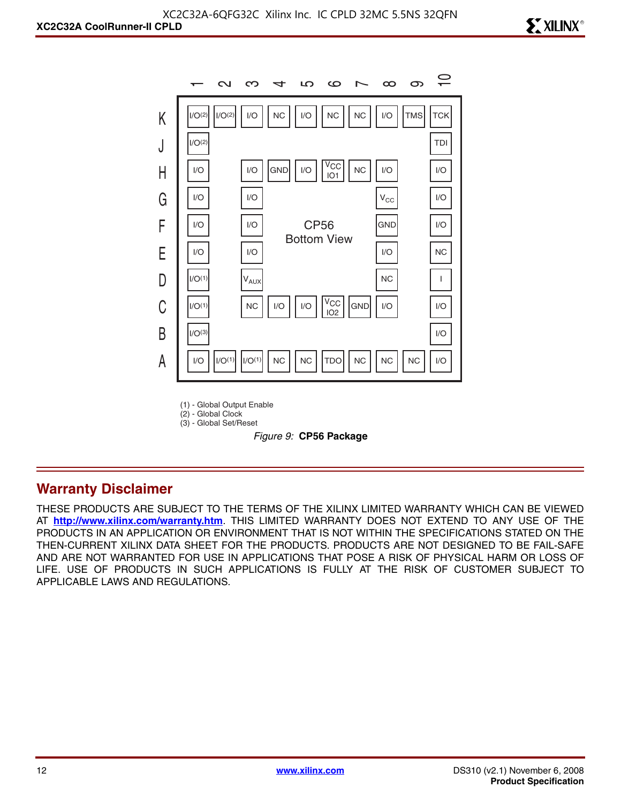

(1) - Global Output Enable

(2) - Global Clock (3) - Global Set/Reset

*Figure 9:* **CP56 Package**

#### **Warranty Disclaimer**

THESE PRODUCTS ARE SUBJECT TO THE TERMS OF THE XILINX LIMITED WARRANTY WHICH CAN BE VIEWED AT **<http://www.xilinx.com/warranty.htm>**. THIS LIMITED WARRANTY DOES NOT EXTEND TO ANY USE OF THE PRODUCTS IN AN APPLICATION OR ENVIRONMENT THAT IS NOT WITHIN THE SPECIFICATIONS STATED ON THE THEN-CURRENT XILINX DATA SHEET FOR THE PRODUCTS. PRODUCTS ARE NOT DESIGNED TO BE FAIL-SAFE AND ARE NOT WARRANTED FOR USE IN APPLICATIONS THAT POSE A RISK OF PHYSICAL HARM OR LOSS OF LIFE. USE OF PRODUCTS IN SUCH APPLICATIONS IS FULLY AT THE RISK OF CUSTOMER SUBJECT TO APPLICABLE LAWS AND REGULATIONS.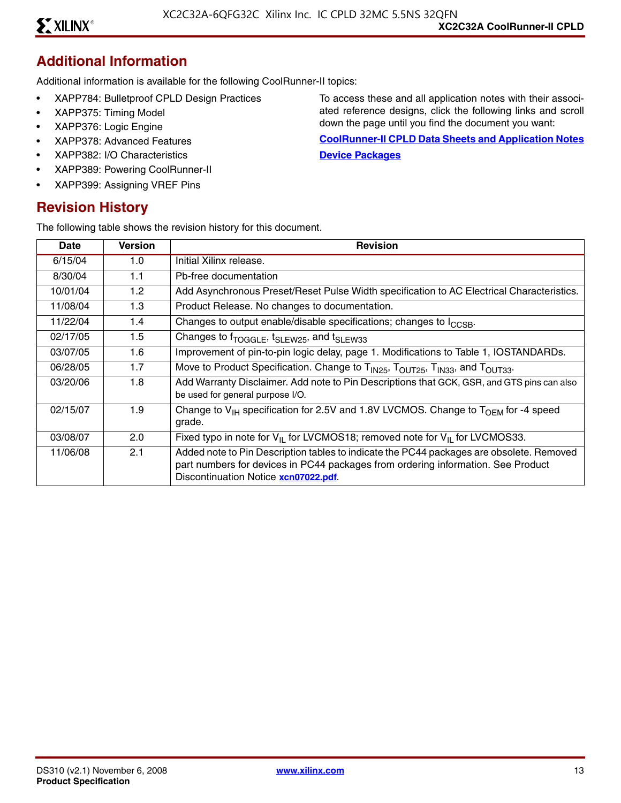#### **Additional Information**

Additional information is available for the following CoolRunner-II topics:

- XAPP784: Bulletproof CPLD Design Practices
- XAPP375: Timing Model
- XAPP376: Logic Engine
- XAPP378: Advanced Features
- XAPP382: I/O Characteristics
- XAPP389: Powering CoolRunner-II
- XAPP399: Assigning VREF Pins

#### **Revision History**

The following table shows the revision history for this document.

To access these and all application notes with their associated reference designs, click the following links and scroll down the page until you find the document you want:

**[CoolRunner-II CPLD Data Sheets and Application Notes](http://www.xilinx.com/support/documentation/coolrunner-ii.htm) [Device Packages](http://www.xilinx.com/support/documentation/package_specifications.htm)**

| Date     | <b>Version</b> | <b>Revision</b>                                                                                                                                                                                                      |
|----------|----------------|----------------------------------------------------------------------------------------------------------------------------------------------------------------------------------------------------------------------|
| 6/15/04  | 1.0            | Initial Xilinx release.                                                                                                                                                                                              |
| 8/30/04  | 1.1            | Pb-free documentation                                                                                                                                                                                                |
| 10/01/04 | 1.2            | Add Asynchronous Preset/Reset Pulse Width specification to AC Electrical Characteristics.                                                                                                                            |
| 11/08/04 | 1.3            | Product Release. No changes to documentation.                                                                                                                                                                        |
| 11/22/04 | 1.4            | Changes to output enable/disable specifications; changes to I <sub>CCSB</sub> .                                                                                                                                      |
| 02/17/05 | 1.5            | Changes to f <sub>TOGGLE</sub> , t <sub>SLEW25</sub> , and t <sub>SLEW33</sub>                                                                                                                                       |
| 03/07/05 | 1.6            | Improvement of pin-to-pin logic delay, page 1. Modifications to Table 1, IOSTANDARDs.                                                                                                                                |
| 06/28/05 | 1.7            | Move to Product Specification. Change to T <sub>IN25</sub> , T <sub>OUT25</sub> , T <sub>IN33</sub> , and T <sub>OUT33</sub> .                                                                                       |
| 03/20/06 | 1.8            | Add Warranty Disclaimer. Add note to Pin Descriptions that GCK, GSR, and GTS pins can also<br>be used for general purpose I/O.                                                                                       |
| 02/15/07 | 1.9            | Change to $V_{H}$ specification for 2.5V and 1.8V LVCMOS. Change to $T_{OFM}$ for -4 speed<br>grade.                                                                                                                 |
| 03/08/07 | 2.0            | Fixed typo in note for $V_{II}$ for LVCMOS18; removed note for $V_{II}$ for LVCMOS33.                                                                                                                                |
| 11/06/08 | 2.1            | Added note to Pin Description tables to indicate the PC44 packages are obsolete. Removed<br>part numbers for devices in PC44 packages from ordering information. See Product<br>Discontinuation Notice xcn07022.pdf. |